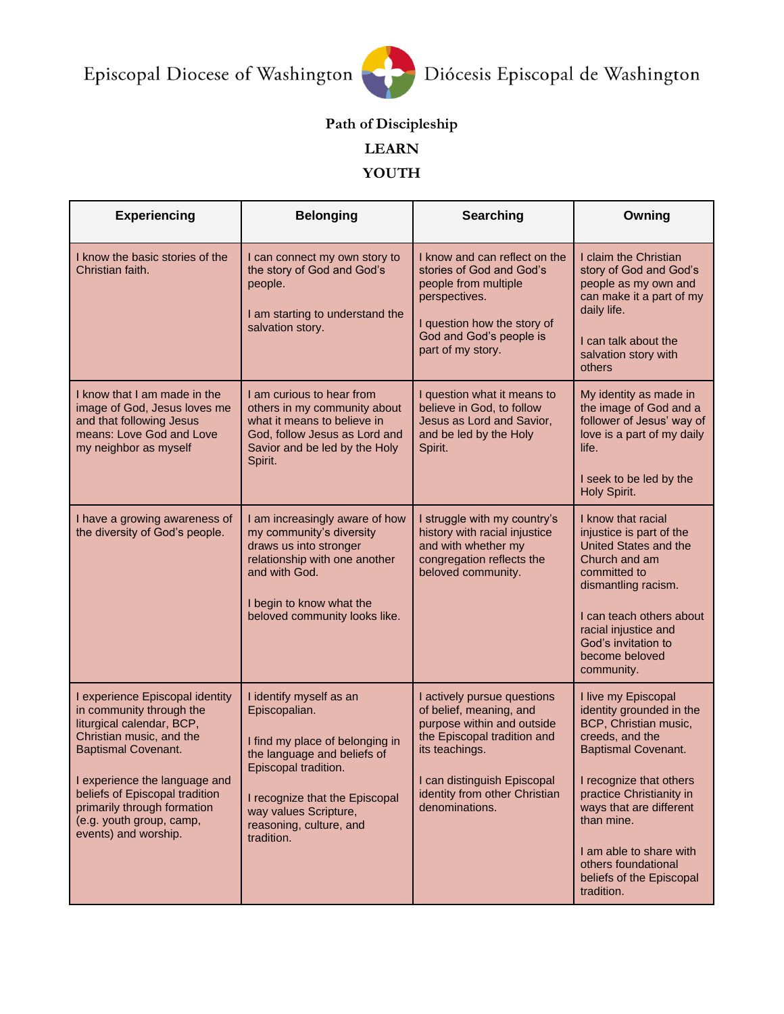

## **Path of Discipleship**

## **LEARN**

## **YOUTH**

| <b>Experiencing</b>                                                                                                                                                                                                                                                                                      | <b>Belonging</b>                                                                                                                                                                                                                       | Searching                                                                                                                                                                                                               | Owning                                                                                                                                                                                                                                                                                                                |
|----------------------------------------------------------------------------------------------------------------------------------------------------------------------------------------------------------------------------------------------------------------------------------------------------------|----------------------------------------------------------------------------------------------------------------------------------------------------------------------------------------------------------------------------------------|-------------------------------------------------------------------------------------------------------------------------------------------------------------------------------------------------------------------------|-----------------------------------------------------------------------------------------------------------------------------------------------------------------------------------------------------------------------------------------------------------------------------------------------------------------------|
| I know the basic stories of the<br>Christian faith.                                                                                                                                                                                                                                                      | I can connect my own story to<br>the story of God and God's<br>people.<br>I am starting to understand the<br>salvation story.                                                                                                          | I know and can reflect on the<br>stories of God and God's<br>people from multiple<br>perspectives.<br>I question how the story of<br>God and God's people is<br>part of my story.                                       | I claim the Christian<br>story of God and God's<br>people as my own and<br>can make it a part of my<br>daily life.<br>I can talk about the<br>salvation story with<br>others                                                                                                                                          |
| I know that I am made in the<br>image of God, Jesus loves me<br>and that following Jesus<br>means: Love God and Love<br>my neighbor as myself                                                                                                                                                            | I am curious to hear from<br>others in my community about<br>what it means to believe in<br>God, follow Jesus as Lord and<br>Savior and be led by the Holy<br>Spirit.                                                                  | I question what it means to<br>believe in God, to follow<br>Jesus as Lord and Savior,<br>and be led by the Holy<br>Spirit.                                                                                              | My identity as made in<br>the image of God and a<br>follower of Jesus' way of<br>love is a part of my daily<br>life.<br>I seek to be led by the<br>Holy Spirit.                                                                                                                                                       |
| I have a growing awareness of<br>the diversity of God's people.                                                                                                                                                                                                                                          | I am increasingly aware of how<br>my community's diversity<br>draws us into stronger<br>relationship with one another<br>and with God.<br>I begin to know what the<br>beloved community looks like.                                    | I struggle with my country's<br>history with racial injustice<br>and with whether my<br>congregation reflects the<br>beloved community.                                                                                 | I know that racial<br>injustice is part of the<br>United States and the<br>Church and am<br>committed to<br>dismantling racism.<br>I can teach others about<br>racial injustice and<br>God's invitation to<br>become beloved<br>community.                                                                            |
| I experience Episcopal identity<br>in community through the<br>liturgical calendar, BCP,<br>Christian music, and the<br><b>Baptismal Covenant.</b><br>I experience the language and<br>beliefs of Episcopal tradition<br>primarily through formation<br>(e.g. youth group, camp,<br>events) and worship. | I identify myself as an<br>Episcopalian.<br>I find my place of belonging in<br>the language and beliefs of<br>Episcopal tradition.<br>I recognize that the Episcopal<br>way values Scripture,<br>reasoning, culture, and<br>tradition. | I actively pursue questions<br>of belief, meaning, and<br>purpose within and outside<br>the Episcopal tradition and<br>its teachings.<br>I can distinguish Episcopal<br>identity from other Christian<br>denominations. | I live my Episcopal<br>identity grounded in the<br>BCP, Christian music,<br>creeds, and the<br><b>Baptismal Covenant.</b><br>I recognize that others<br>practice Christianity in<br>ways that are different<br>than mine.<br>I am able to share with<br>others foundational<br>beliefs of the Episcopal<br>tradition. |